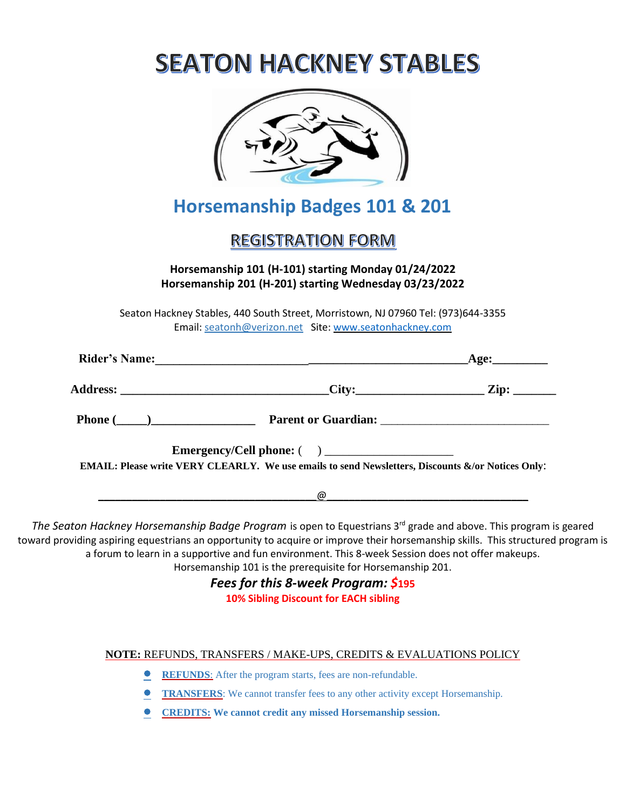| <b>SEATON HACKNEY STABLES</b>                                                                                                               |                                                                                                                      |
|---------------------------------------------------------------------------------------------------------------------------------------------|----------------------------------------------------------------------------------------------------------------------|
| <b>Horsemanship Badges 101 &amp; 201</b>                                                                                                    |                                                                                                                      |
| <b>REGISTRATION FORM</b>                                                                                                                    |                                                                                                                      |
| Horsemanship 101 (H-101) starting Monday 01/24/2022<br>Horsemanship 201 (H-201) starting Wednesday 03/23/2022                               |                                                                                                                      |
| Seaton Hackney Stables, 440 South Street, Morristown, NJ 07960 Tel: (973)644-3355<br>Email: seatonh@verizon.net Site: www.seatonhackney.com |                                                                                                                      |
|                                                                                                                                             |                                                                                                                      |
|                                                                                                                                             |                                                                                                                      |
| Phone (Company 2014) Parent or Guardian: Company 2014 Parent or Guardian:                                                                   |                                                                                                                      |
| EMAIL: Please write VERY CLEARLY. We use emails to send Newsletters, Discounts &/or Notices Only:                                           |                                                                                                                      |
| @                                                                                                                                           | <u> 1990 - Johann John Stone, markin samti samti samti samti samti samti samti samti samti samti samti samti sam</u> |

The Seaton Hackney Horsemanship Badge Program is open to Equestrians 3<sup>rd</sup> grade and above. This program is geared toward providing aspiring equestrians an opportunity to acquire or improve their horsemanship skills. This structured program is a forum to learn in a supportive and fun environment. This 8-week Session does not offer makeups. Horsemanship 101 is the prerequisite for Horsemanship 201.

*Fees for this 8-week Program: \$***195**

**10% Sibling Discount for EACH sibling**

#### **NOTE:** REFUNDS, TRANSFERS / MAKE-UPS, CREDITS & EVALUATIONS POLICY

- **REFUNDS**: After the program starts, fees are non-refundable.
- **TRANSFERS**: We cannot transfer fees to any other activity except Horsemanship.
- **CREDITS: We cannot credit any missed Horsemanship session.**